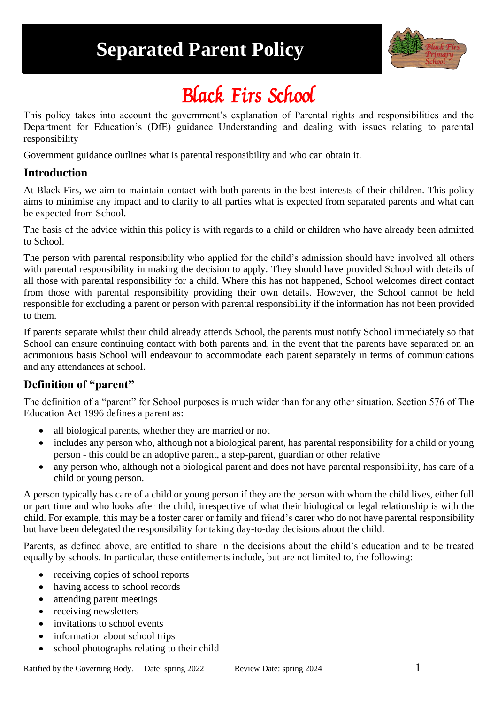# **Separated Parent Policy**



# Black Firs School

This policy takes into account the government's explanation of Parental rights and responsibilities and the Department for Education's (DfE) guidance Understanding and dealing with issues relating to parental responsibility

Government guidance outlines what is parental responsibility and who can obtain it.

#### **Introduction**

At Black Firs, we aim to maintain contact with both parents in the best interests of their children. This policy aims to minimise any impact and to clarify to all parties what is expected from separated parents and what can be expected from School.

The basis of the advice within this policy is with regards to a child or children who have already been admitted to School.

The person with parental responsibility who applied for the child's admission should have involved all others with parental responsibility in making the decision to apply. They should have provided School with details of all those with parental responsibility for a child. Where this has not happened, School welcomes direct contact from those with parental responsibility providing their own details. However, the School cannot be held responsible for excluding a parent or person with parental responsibility if the information has not been provided to them.

If parents separate whilst their child already attends School, the parents must notify School immediately so that School can ensure continuing contact with both parents and, in the event that the parents have separated on an acrimonious basis School will endeavour to accommodate each parent separately in terms of communications and any attendances at school.

# **Definition of "parent"**

The definition of a "parent" for School purposes is much wider than for any other situation. Section 576 of The Education Act 1996 defines a parent as:

- all biological parents, whether they are married or not
- includes any person who, although not a biological parent, has parental responsibility for a child or young person - this could be an adoptive parent, a step-parent, guardian or other relative
- any person who, although not a biological parent and does not have parental responsibility, has care of a child or young person.

A person typically has care of a child or young person if they are the person with whom the child lives, either full or part time and who looks after the child, irrespective of what their biological or legal relationship is with the child. For example, this may be a foster carer or family and friend's carer who do not have parental responsibility but have been delegated the responsibility for taking day-to-day decisions about the child.

Parents, as defined above, are entitled to share in the decisions about the child's education and to be treated equally by schools. In particular, these entitlements include, but are not limited to, the following:

- receiving copies of school reports
- having access to school records
- attending parent meetings
- receiving newsletters
- invitations to school events
- information about school trips
- school photographs relating to their child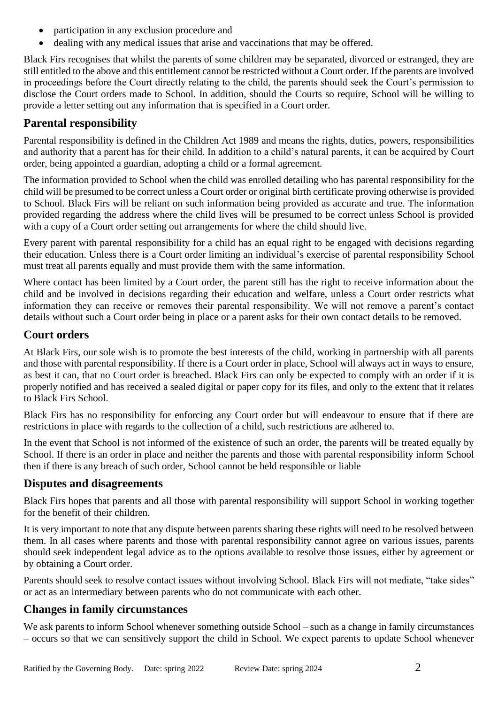- participation in any exclusion procedure and
- dealing with any medical issues that arise and vaccinations that may be offered.

Black Firs recognises that whilst the parents of some children may be separated, divorced or estranged, they are still entitled to the above and this entitlement cannot be restricted without a Court order. If the parents are involved in proceedings before the Court directly relating to the child, the parents should seek the Court's permission to disclose the Court orders made to School. In addition, should the Courts so require, School will be willing to provide a letter setting out any information that is specified in a Court order.

# **Parental responsibility**

Parental responsibility is defined in the Children Act 1989 and means the rights, duties, powers, responsibilities and authority that a parent has for their child. In addition to a child's natural parents, it can be acquired by Court order, being appointed a guardian, adopting a child or a formal agreement.

The information provided to School when the child was enrolled detailing who has parental responsibility for the child will be presumed to be correct unless a Court order or original birth certificate proving otherwise is provided to School. Black Firs will be reliant on such information being provided as accurate and true. The information provided regarding the address where the child lives will be presumed to be correct unless School is provided with a copy of a Court order setting out arrangements for where the child should live.

Every parent with parental responsibility for a child has an equal right to be engaged with decisions regarding their education. Unless there is a Court order limiting an individual's exercise of parental responsibility School must treat all parents equally and must provide them with the same information.

Where contact has been limited by a Court order, the parent still has the right to receive information about the child and be involved in decisions regarding their education and welfare, unless a Court order restricts what information they can receive or removes their parental responsibility. We will not remove a parent's contact details without such a Court order being in place or a parent asks for their own contact details to be removed.

#### **Court orders**

At Black Firs, our sole wish is to promote the best interests of the child, working in partnership with all parents and those with parental responsibility. If there is a Court order in place, School will always act in ways to ensure, as best it can, that no Court order is breached. Black Firs can only be expected to comply with an order if it is properly notified and has received a sealed digital or paper copy for its files, and only to the extent that it relates to Black Firs School.

Black Firs has no responsibility for enforcing any Court order but will endeavour to ensure that if there are restrictions in place with regards to the collection of a child, such restrictions are adhered to.

In the event that School is not informed of the existence of such an order, the parents will be treated equally by School. If there is an order in place and neither the parents and those with parental responsibility inform School then if there is any breach of such order, School cannot be held responsible or liable

#### **Disputes and disagreements**

Black Firs hopes that parents and all those with parental responsibility will support School in working together for the benefit of their children.

It is very important to note that any dispute between parents sharing these rights will need to be resolved between them. In all cases where parents and those with parental responsibility cannot agree on various issues, parents should seek independent legal advice as to the options available to resolve those issues, either by agreement or by obtaining a Court order.

Parents should seek to resolve contact issues without involving School. Black Firs will not mediate, "take sides" or act as an intermediary between parents who do not communicate with each other.

# **Changes in family circumstances**

We ask parents to inform School whenever something outside School – such as a change in family circumstances – occurs so that we can sensitively support the child in School. We expect parents to update School whenever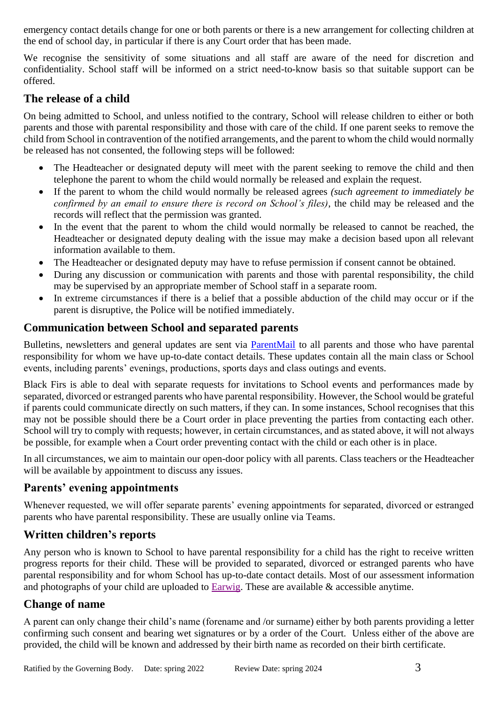emergency contact details change for one or both parents or there is a new arrangement for collecting children at the end of school day, in particular if there is any Court order that has been made.

We recognise the sensitivity of some situations and all staff are aware of the need for discretion and confidentiality. School staff will be informed on a strict need-to-know basis so that suitable support can be offered.

#### **The release of a child**

On being admitted to School, and unless notified to the contrary, School will release children to either or both parents and those with parental responsibility and those with care of the child. If one parent seeks to remove the child from School in contravention of the notified arrangements, and the parent to whom the child would normally be released has not consented, the following steps will be followed:

- The Headteacher or designated deputy will meet with the parent seeking to remove the child and then telephone the parent to whom the child would normally be released and explain the request.
- If the parent to whom the child would normally be released agrees *(such agreement to immediately be confirmed by an email to ensure there is record on School's files)*, the child may be released and the records will reflect that the permission was granted.
- In the event that the parent to whom the child would normally be released to cannot be reached, the Headteacher or designated deputy dealing with the issue may make a decision based upon all relevant information available to them.
- The Headteacher or designated deputy may have to refuse permission if consent cannot be obtained.
- During any discussion or communication with parents and those with parental responsibility, the child may be supervised by an appropriate member of School staff in a separate room.
- In extreme circumstances if there is a belief that a possible abduction of the child may occur or if the parent is disruptive, the Police will be notified immediately.

#### **Communication between School and separated parents**

Bulletins, newsletters and general updates are sent via [ParentMail](https://www.parentmail.co.uk/) to all parents and those who have parental responsibility for whom we have up-to-date contact details. These updates contain all the main class or School events, including parents' evenings, productions, sports days and class outings and events.

Black Firs is able to deal with separate requests for invitations to School events and performances made by separated, divorced or estranged parents who have parental responsibility. However, the School would be grateful if parents could communicate directly on such matters, if they can. In some instances, School recognises that this may not be possible should there be a Court order in place preventing the parties from contacting each other. School will try to comply with requests; however, in certain circumstances, and as stated above, it will not always be possible, for example when a Court order preventing contact with the child or each other is in place.

In all circumstances, we aim to maintain our open-door policy with all parents. Class teachers or the Headteacher will be available by appointment to discuss any issues.

# **Parents' evening appointments**

Whenever requested, we will offer separate parents' evening appointments for separated, divorced or estranged parents who have parental responsibility. These are usually online via Teams.

# **Written children's reports**

Any person who is known to School to have parental responsibility for a child has the right to receive written progress reports for their child. These will be provided to separated, divorced or estranged parents who have parental responsibility and for whom School has up-to-date contact details. Most of our assessment information and photographs of your child are uploaded to [Earwig.](https://earwig.uk.com/) These are available & accessible anytime.

# **Change of name**

A parent can only change their child's name (forename and /or surname) either by both parents providing a letter confirming such consent and bearing wet signatures or by a order of the Court. Unless either of the above are provided, the child will be known and addressed by their birth name as recorded on their birth certificate.